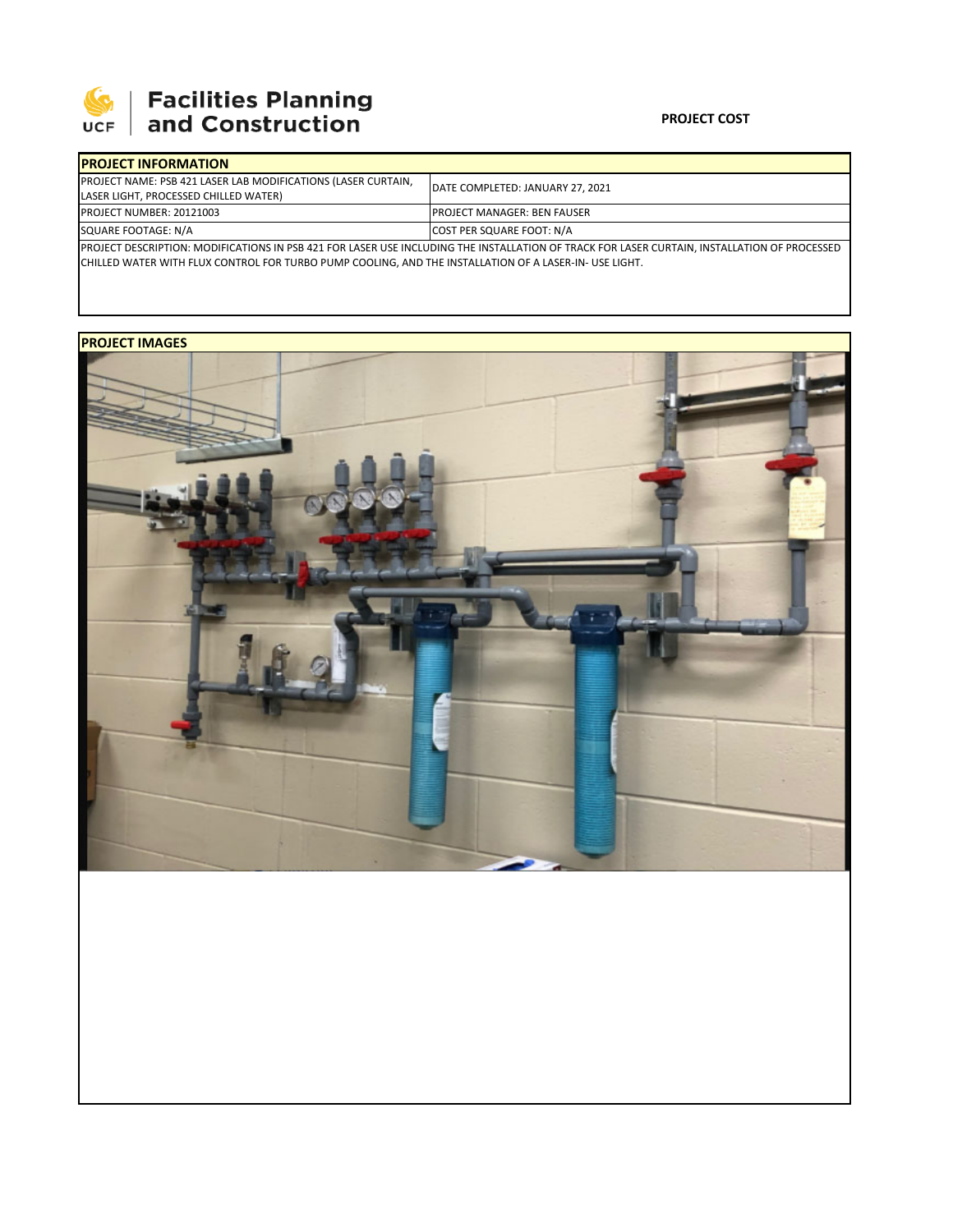

## **SEPTE AND Facilities Planning**<br>UCF and Construction

## **PROJECT COST**

| <b>IPROJECT INFORMATION</b>                                                                                                                   |                                     |  |  |  |
|-----------------------------------------------------------------------------------------------------------------------------------------------|-------------------------------------|--|--|--|
| <b>PROJECT NAME: PSB 421 LASER LAB MODIFICATIONS (LASER CURTAIN,</b>                                                                          | DATE COMPLETED: JANUARY 27, 2021    |  |  |  |
| LASER LIGHT, PROCESSED CHILLED WATER)                                                                                                         |                                     |  |  |  |
| <b>PROJECT NUMBER: 20121003</b>                                                                                                               | <b>IPROJECT MANAGER: BEN FAUSER</b> |  |  |  |
| SQUARE FOOTAGE: N/A                                                                                                                           | COST PER SQUARE FOOT: N/A           |  |  |  |
| IPROJECT DESCRIPTION: MODIFICATIONS IN PSB 421 FOR LASER USE INCLUDING THE INSTALLATION OF TRACK FOR LASER CURTAIN. INSTALLATION OF PROCESSED |                                     |  |  |  |

PROJECT DESCRIPTION: MODIFICATIONS IN PSB 421 FOR LASER USE INCLUDING THE INSTALLATION OF TRACK FOR LASER CURTAIN, INSTALLATION OF PROCESSED CHILLED WATER WITH FLUX CONTROL FOR TURBO PUMP COOLING, AND THE INSTALLATION OF A LASER‐IN‐ USE LIGHT.

## **PROJECT IMAGES**